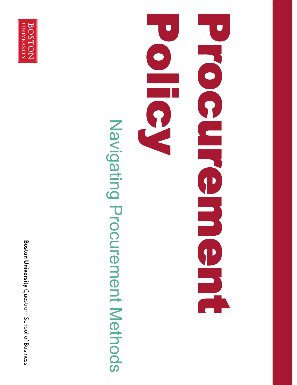**Boston University** Questrom School of Business



# Navigating Procurement Methods Navigating Procurement Methods

## Processed Contract Policy of  $\Box$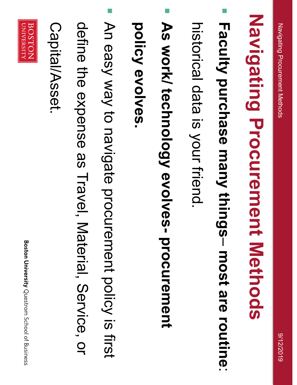# Navigating Procurement Methods **Navigating Procurement Methods**

П **Faculty purchase many things** – **most are routine**

:

historical data is your friend. historical data is your friend.

 $\mathcal{L}_{\mathcal{A}}$ **As work/ technology evolves procurement** 

policy evolves. **policy evolves.** 

- $\mathcal{L}_{\mathcal{A}}$ An easy way to navigate procurement policy is first An easy way to navigate procurement policy is first
- define the expense as Travel, Material, Service, or define the expense as Travel, Material, Service, or

Capital/Asset. Capital/Asset.

BOSTON

UNIVERSITY

**Boston University** Questrom School of Business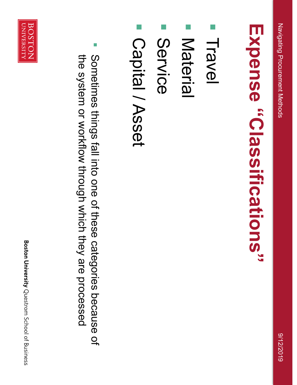## Expense "Classlifications" **Expense "Classifications"**

- $\overline{\phantom{a}}$ Travel
- $\overline{\phantom{a}}$ Material Material
- $\overline{\phantom{a}}$ Service
- $\overline{\phantom{a}}$ Capital / Asset Capital / Asset
- $\overline{\phantom{a}}$ the system or workflow through which they are processed Sometimes things fall into one of these categories because of the system or workflow through which they are processed Sometimes things fall into one of these categories because of



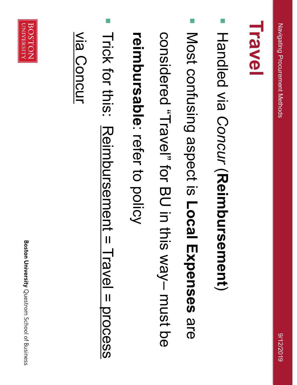### **Travel**

- $\overline{\phantom{a}}$ Handled via *Concur*  $\overline{\phantom{a}}$ **Reimbursement** $\overline{\phantom{0}}$
- $\overline{\phantom{a}}$ Most confusing aspect is **Local Expenses** Most confusing aspect is Local Expenses are
- sonsidered "Travel" for BU in this way-must be considered "Travel" for BU in this way– must be

### **reimbursable**reimbursable: refer to policy refer to policy

- $\overline{\phantom{a}}$ Trick for this: Reimbursement = Travel = process
- via Concur
- Trick for this: Reimbursement = Travel = process
- via Concur

**Boston University** Questrom School of Business

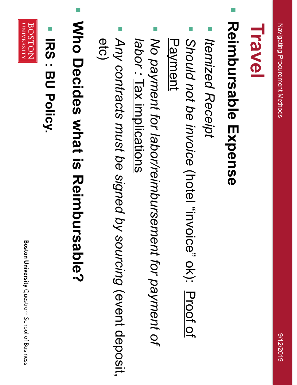### $\overline{\phantom{a}}$ Reimbursable Expense **Reimbursable Expense**

- $\mathbb{R}^n$ Itemized Receipt *Itemized Receipt*
- $\overline{\phantom{a}}$ Should not be invoice (hotel "invoice" ok): Proof of Payment *Should not be invoice* (hotel "invoice" ok): Proof of
- $\overline{\phantom{a}}$ No payment for labor/reimbursement for payment of *labor No payment for labor/reimbursement for payment of :* Tax implications
- $\overline{\phantom{a}}$ Any contracts must be signed by sourcing (event deposit. etc) *Any contracts must be signed by sourcing* (event deposit,
- $\overline{\phantom{a}}$ Who Decides what is Reimbursable? **Who Decides what is Reimbursable?**
- **IRS: BU Policy IRS : BU Policy.**

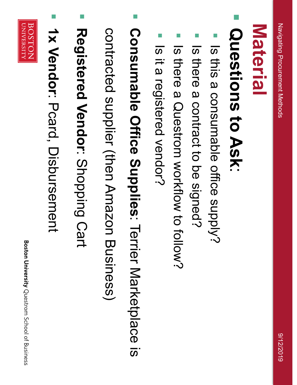#### Material **Material**

#### $\overline{\phantom{a}}$ **Questions to Ask**Questions to Ask:

- $\overline{\phantom{a}}$ Is this a consumable office supply? Is this a consumable office supply?
- $\overline{\phantom{a}}$ Is there a contract to be signed? Is there a contract to be signed?
- $\overline{\phantom{a}}$ Is there a Questrom workflow to follow? Is there a Questrom workflow to follow?
- T Is it a registered vendor? Is it a registered vendor?
- $\overline{\phantom{a}}$ Consumable Office Supplies: Terrier Marketplace is **Consumable Office Supplies**: Terrier Marketplace is

contracted supplier (then Amazon Business) contracted supplier (then Amazon Business)

- $\overline{\mathcal{L}}$ Registered Vendor: Shoping Cart **Registered Vendor**: Shopping Cart
- $\overline{\phantom{a}}$ 1x Vendor: Pcard, Disbursement **1x Vendor**: Pcard, Disbursement

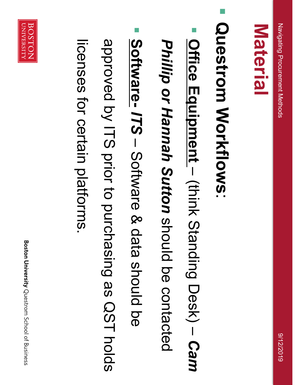#### Material **Material**

**Questrom Workflows**Questrom Workflows:

 $\overline{\phantom{a}}$ 

- $\overline{\phantom{a}}$ *Phillip or Hannah Sutton* Phillip or Hannah Sutton should be contacted **Office Equipment**  $\overline{\phantom{a}}$ (think Standing Desk) should be contacted  $\overline{\phantom{a}}$ *Cam*
- $\overline{\phantom{a}}$ **Software-** *ITS*  $\overline{a}$ Software & data should be

approved by ITS prior to purchasing as QST holds approved by ITS prior to purchasing as QST holds

licenses for certain platforms. licenses for certain platforms.

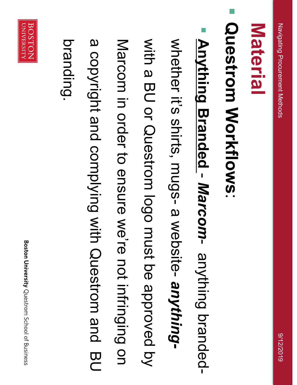#### Material **Material**

**Questrom Workflows**Questrom Workflows:

 $\overline{\phantom{a}}$ 

 $\overline{\phantom{a}}$ **Anything Branded** - *Marcom* anything branded-

whether it's shirts, mugs a website *anything-*

- with a BU or Questrom logo must be approved by
- Marcom in order to ensure we're not infringing on Marcom with a BU or Questrom logo must be approved by in order to ensure we're not infringing on
- 

branding.

a copyright and complying with Questrom and BU a copyright and complying with Questrom and BU

BOSTON

UNIVERSITY

**Boston University** Questrom School of Business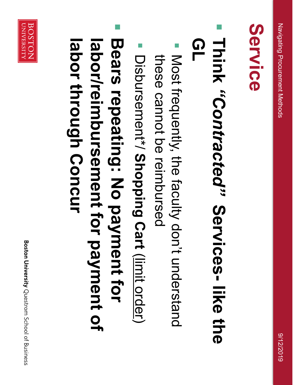## **Service**

#### $\overline{\phantom{a}}$ **Think "Contracted" Services- like the** *"Contracted"* **Services like the**   $\mathbf{G}$

- $\overline{\phantom{a}}$ Most frequently, the faculty don't understand these cannot be reimbursed these cannot be reimbursed Most frequently, the faculty don't understand
- $\overline{\phantom{a}}$ Disbursement\*/ Shopping Cart (limit order) Disbursement\*/ **Shopping Cart** (limit order)
- $\overline{\phantom{a}}$ Bears repeating: No payment for labor/reimbursement for payment of labor through Concur **labor/reimbursement for payment of Bears repeating: No payment for through Concur**

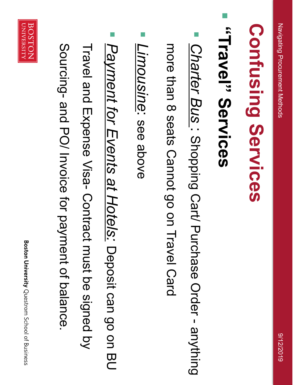## Confusing Services **Confusing Services**

## "Travel" Services **"Travel" Services**

 $\overline{\phantom{a}}$ 

 $\overline{\phantom{a}}$ *Charter Bus* : Shopping Cart/ Purchase Order - Charter Bus: Shopping Cart/ Purchase Order - anything

more than 8 seats Cannot go on Travel Card more than 8 seats Cannot go on Travel Card

- $\overline{\phantom{a}}$ Limousine: see above *Limousine*: see above
- $\overline{\phantom{a}}$ Payment for Events at Hotels: Deposit can go on BU *Payment for Events at Hotels:* Deposit can go on BU
- Travel and Expense Visa- Contract must be signed by Travel and Expense Visa- Contract must be signed by
- Sourcing- and PO/ Invoice for payment of balance. and PO/ Invoice for payment of balance.
- **Boston University** Questrom School of Business

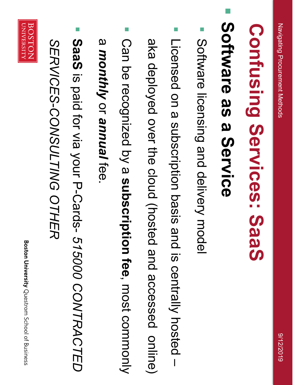## **Confusing Services: SaaS Confusing Services: SaaS**

## Software as a Service **Software as a Service**

 $\overline{\phantom{a}}$ 

- $\overline{\phantom{a}}$ Software licensing and delivery model Software licensing and delivery model
- $\overline{\phantom{a}}$ Licensed on a subscription basis and is centrally hosted Licensed on a subscription basis and is centrally hosted -

aka deployed over the cloud (hosted and accessed online) aka deployed over the cloud (hosted and accessed online)

 $\mathbb{R}^n$ Can be recognized by a subscription fee, most commonly Can be recognized by a **subscription fee**, most commonly

#### <u>ന</u> *monthly* <u>ا</u> *annual* fee.<br>F

 $\overline{\phantom{a}}$ **SaaS** is paid for via your P -Cards - *515000 CONTRACTED* 

SERVICES-CONSULTING OTHER *SERVICES -CONSULTING OTHER*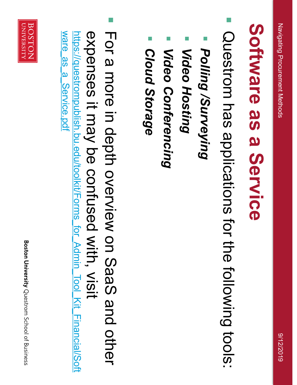## Software as a Service **Software as a Service**

- $\overline{\mathcal{L}}$ Questrom has applications for the following tools: Questrom has applications for the following tools:
- T **Polling /Surveying** *Polling /Surveying*
- $\overline{\phantom{a}}$ **Video Hosting** *Video Hosting*
- T **Video Conferencing** *Video Conferencing*
- $\overline{\phantom{a}}$ Cloud Storage *Cloud Storage*
- $\overline{\phantom{a}}$ ware as a Service.pdf For a more in depth overview on SaaS and other ware\_as\_a\_Service.pdf expenses it may be confused with, visit https://questrompublish.bu.edu/toolkit/Forms for Admin Tool Kit Financial/Soft expenses it may be confused with, visit For a more in depth overview on SaaS and other questrompublish.bu.edu/toolkit/Forms\_for\_Admin\_Tool\_Kit\_Financial/Soft

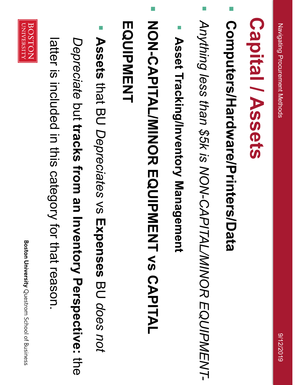## **Capital / Assets Capital / Assets**

Computers/Hardware/Printers/Data **Computers/Hardware/Printers/Data**

 $\overline{\phantom{a}}$ 

- P. Anything less than \$5k is NON-CAPITAL/MINOR EQUIPMENT-*Anything less than \$5k is NON-CAPITAL/MINOR EQUIPMENT-*
- F Asset Tracking/Inventory Management **Asset Tracking/Inventory Management**
- $\overline{\phantom{a}}$ NON-CAPITAL/MINOR EQUIPMENT vs CAPITAL **NON-CAPITAL/MINOR EQUIPMENT vs CAPITAL**
- **MOUIDNENT EQUIPMENT**
- $\overline{\phantom{a}}$ **Assets** that BU *Depreciates*  $\lesssim$ **Expenses** BU *does not*
- *Depreciate* but **tracks from an Inventory Perspective:** the<br>O
- latter is included in this category for that reason. latter is included in this category for that reason.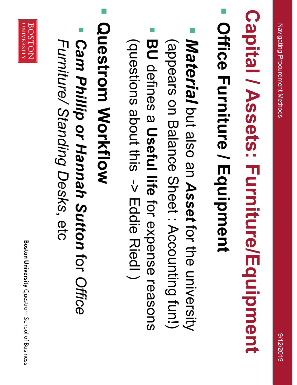# **Capital / Assets: Furniture/Equipment Capital / Assets: Furniture/Equipment**

## $\overline{\phantom{a}}$ Office Furniture / Equipment **Office Furniture / Equipment**

- $\overline{\phantom{a}}$ Material but also an Asset for the university *Material* but also an *Asset* for the university
- (appears on Balance Sheet: Accounting fun!) (appears on Balance Sheet : Accounting fun!)
- $\overline{\phantom{a}}$ **BU** defines a Useful life for expense reasons (questions about this -> Eddie Riedl) (questions about this defines a **Useful life** -> Eddie Riedl ) for expense reasons
- $\overline{\phantom{a}}$ Questrom Workflow **Questrom Workflow**
- $\overline{\phantom{a}}$ *Cam Phillip or Hannah Sutton* for *Office Furniture/ Standing Desks*Furniture/ Standing Desks, etc